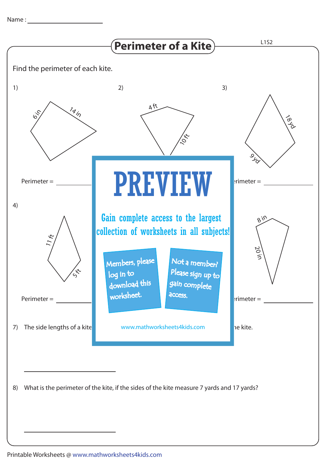